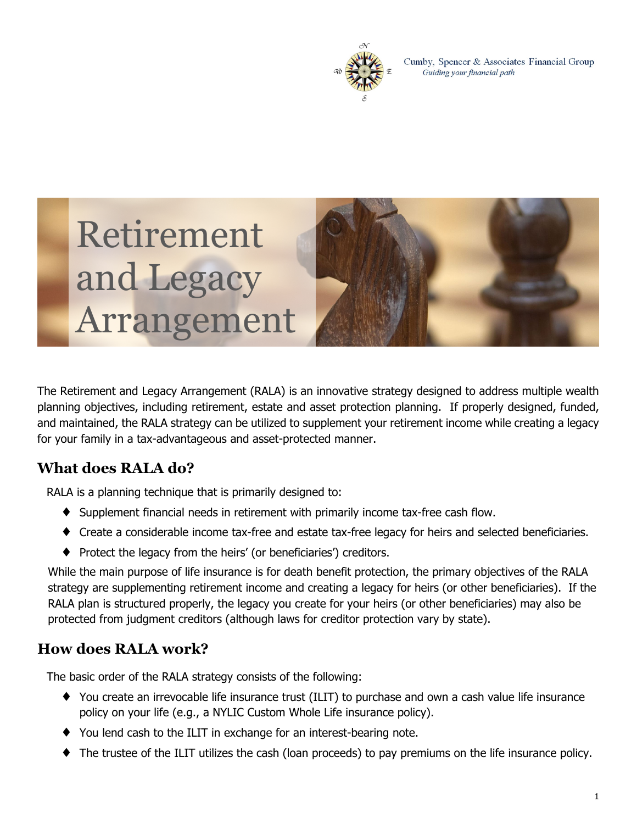

Cumby, Spencer & Associates Financial Group Guiding your financial path

# Retirement and Legacy Arrangement



The Retirement and Legacy Arrangement (RALA) is an innovative strategy designed to address multiple wealth planning objectives, including retirement, estate and asset protection planning. If properly designed, funded, and maintained, the RALA strategy can be utilized to supplement your retirement income while creating a legacy for your family in a tax-advantageous and asset-protected manner.

## **What does RALA do?**

RALA is a planning technique that is primarily designed to:

- ♦ Supplement financial needs in retirement with primarily income tax-free cash flow.
- ♦ Create a considerable income tax-free and estate tax-free legacy for heirs and selected beneficiaries.
- ♦ Protect the legacy from the heirs' (or beneficiaries') creditors.

While the main purpose of life insurance is for death benefit protection, the primary objectives of the RALA strategy are supplementing retirement income and creating a legacy for heirs (or other beneficiaries). If the RALA plan is structured properly, the legacy you create for your heirs (or other beneficiaries) may also be protected from judgment creditors (although laws for creditor protection vary by state).

### **How does RALA work?**

The basic order of the RALA strategy consists of the following:

- ♦ You create an irrevocable life insurance trust (ILIT) to purchase and own a cash value life insurance policy on your life (e.g., a NYLIC Custom Whole Life insurance policy).
- ♦ You lend cash to the ILIT in exchange for an interest-bearing note.
- ♦ The trustee of the ILIT utilizes the cash (loan proceeds) to pay premiums on the life insurance policy.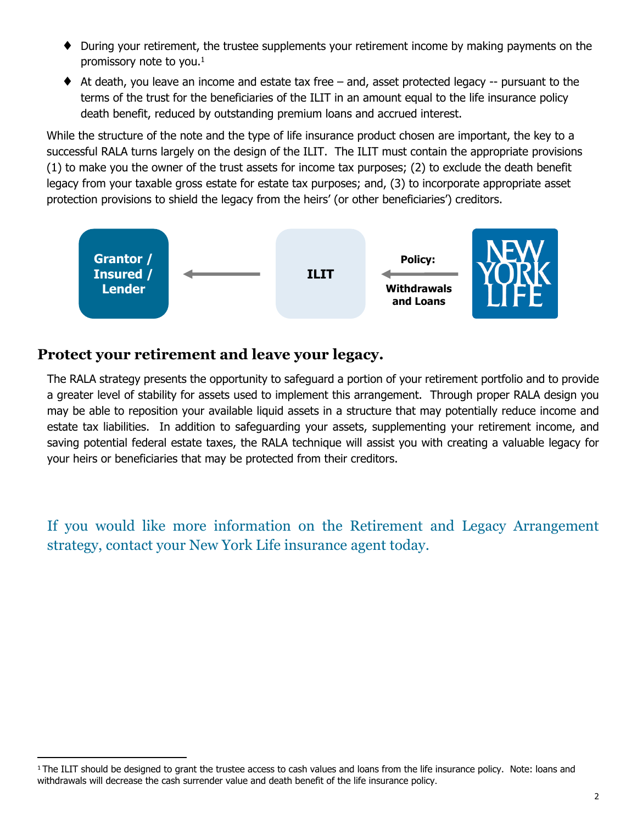- ♦ During your retirement, the trustee supplements your retirement income by making payments on the promissory note to you. $<sup>1</sup>$ </sup>
- ♦ At death, you leave an income and estate tax free and, asset protected legacy -- pursuant to the terms of the trust for the beneficiaries of the ILIT in an amount equal to the life insurance policy death benefit, reduced by outstanding premium loans and accrued interest.

While the structure of the note and the type of life insurance product chosen are important, the key to a successful RALA turns largely on the design of the ILIT. The ILIT must contain the appropriate provisions (1) to make you the owner of the trust assets for income tax purposes; (2) to exclude the death benefit legacy from your taxable gross estate for estate tax purposes; and, (3) to incorporate appropriate asset protection provisions to shield the legacy from the heirs' (or other beneficiaries') creditors.



#### **Protect your retirement and leave your legacy.**

The RALA strategy presents the opportunity to safeguard a portion of your retirement portfolio and to provide a greater level of stability for assets used to implement this arrangement. Through proper RALA design you may be able to reposition your available liquid assets in a structure that may potentially reduce income and estate tax liabilities. In addition to safeguarding your assets, supplementing your retirement income, and saving potential federal estate taxes, the RALA technique will assist you with creating a valuable legacy for your heirs or beneficiaries that may be protected from their creditors.

If you would like more information on the Retirement and Legacy Arrangement strategy, contact your New York Life insurance agent today.

<sup>&</sup>lt;sup>1</sup> The ILIT should be designed to grant the trustee access to cash values and loans from the life insurance policy. Note: loans and withdrawals will decrease the cash surrender value and death benefit of the life insurance policy.